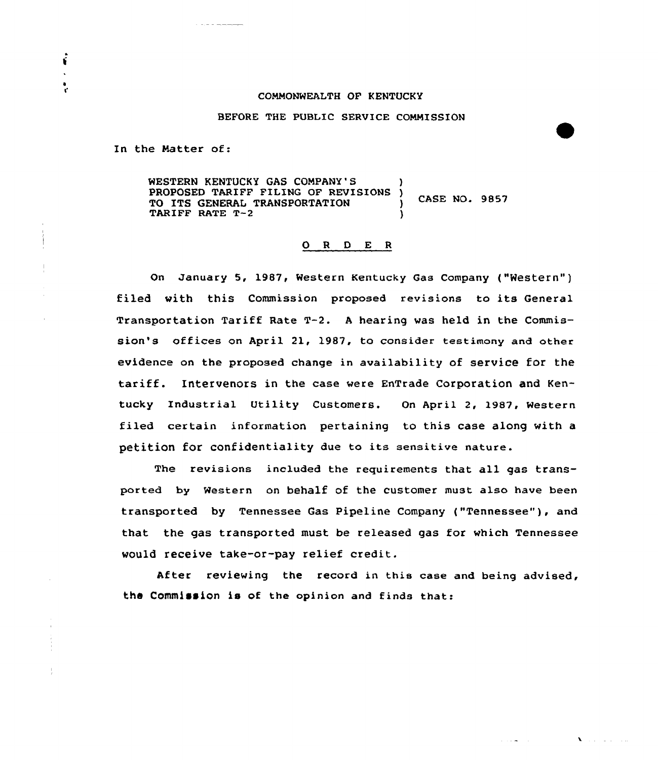## COMMONWEALTH OF KENTUCKY

## BEFORE THE PUBLIC SERVICE COMMISSION

In the Matter of:

É

WESTERN KENTUCKY GAS COMPANY'S )<br>PROPOSED TARIFF FILING OF REVISIONS ) PROPOSED TARIFF FILING OF REVISIONS TO ITS GENERAL TRANSPORTATION  $($ CASE NO. 9857 TARIFF RATE T-2

## 0 <sup>R</sup> <sup>D</sup> E <sup>R</sup>

On January 5, 1987, Western Kentucky Gas Company ("Western") filed with this Commission proposed revisions to its General Transportation Tariff Rate T-2. <sup>A</sup> hearing was held in the Commission's offices on April 21, l987, to consider testimony and other evidence on the proposed change in availability of service for the tariff. Intervenors in the case were EnTrade Corporation and Kentucky Industrial Utility Customers. On April 2, 1987, Western filed certain information, pertaining to this case along with a petition for confidentiality due ta its sensitive nature.

The revisions included the reguirements that all gas transparted by Western on behalf of the customer must also have been transported by Tennessee Gas Pipeline Company ("Tennessee" ), and that the gas transported must be released gas for which Tennessee would receive take-ar-pay relief credit.

After reviewing the record in this case and being advised, the Commission is of the opinion and finds that:

 $\mathbf{V}$  and  $\mathbf{V}$  are  $\mathbf{V}$  .

 $\mathcal{L}(\mathcal{A},\mathbf{w})$  .  $\mathcal{L}(\mathcal{A})$